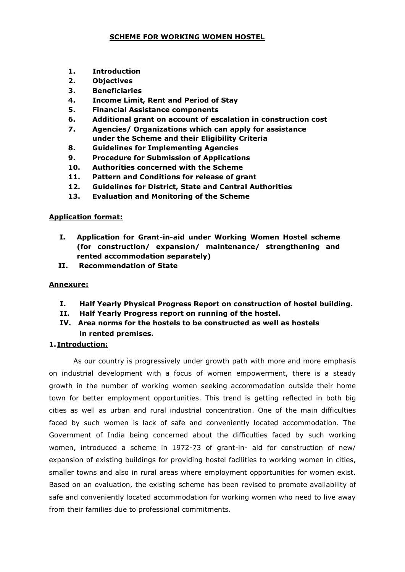### SCHEME FOR WORKING WOMEN HOSTEL

- 1. Introduction
- 2. Objectives
- 3. Beneficiaries
- 4. Income Limit, Rent and Period of Stay
- 5. Financial Assistance components
- 6. Additional grant on account of escalation in construction cost
- 7. Agencies/ Organizations which can apply for assistance under the Scheme and their Eligibility Criteria
- 8. Guidelines for Implementing Agencies
- 9. Procedure for Submission of Applications
- 10. Authorities concerned with the Scheme
- 11. Pattern and Conditions for release of grant
- 12. Guidelines for District, State and Central Authorities
- 13. Evaluation and Monitoring of the Scheme

## Application format:

- I. Application for Grant-in-aid under Working Women Hostel scheme (for construction/ expansion/ maintenance/ strengthening and rented accommodation separately)
- II. Recommendation of State

### Annexure:

- I. Half Yearly Physical Progress Report on construction of hostel building.
- II. Half Yearly Progress report on running of the hostel.
- IV. Area norms for the hostels to be constructed as well as hostels in rented premises.

## 1.Introduction:

As our country is progressively under growth path with more and more emphasis on industrial development with a focus of women empowerment, there is a steady growth in the number of working women seeking accommodation outside their home town for better employment opportunities. This trend is getting reflected in both big cities as well as urban and rural industrial concentration. One of the main difficulties faced by such women is lack of safe and conveniently located accommodation. The Government of India being concerned about the difficulties faced by such working women, introduced a scheme in 1972-73 of grant-in- aid for construction of new/ expansion of existing buildings for providing hostel facilities to working women in cities, smaller towns and also in rural areas where employment opportunities for women exist. Based on an evaluation, the existing scheme has been revised to promote availability of safe and conveniently located accommodation for working women who need to live away from their families due to professional commitments.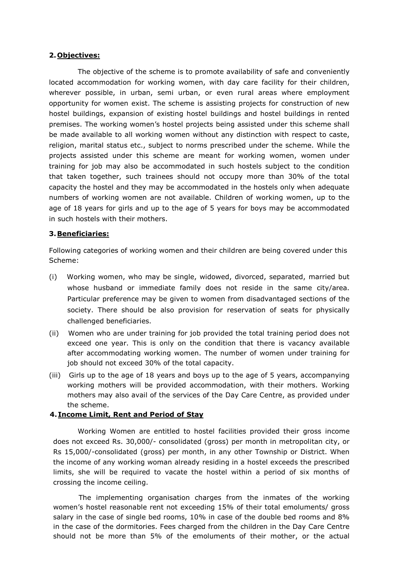#### 2.Objectives:

The objective of the scheme is to promote availability of safe and conveniently located accommodation for working women, with day care facility for their children, wherever possible, in urban, semi urban, or even rural areas where employment opportunity for women exist. The scheme is assisting projects for construction of new hostel buildings, expansion of existing hostel buildings and hostel buildings in rented premises. The working women's hostel projects being assisted under this scheme shall be made available to all working women without any distinction with respect to caste, religion, marital status etc., subject to norms prescribed under the scheme. While the projects assisted under this scheme are meant for working women, women under training for job may also be accommodated in such hostels subject to the condition that taken together, such trainees should not occupy more than 30% of the total capacity the hostel and they may be accommodated in the hostels only when adequate numbers of working women are not available. Children of working women, up to the age of 18 years for girls and up to the age of 5 years for boys may be accommodated in such hostels with their mothers.

### 3.Beneficiaries:

Following categories of working women and their children are being covered under this Scheme:

- (i) Working women, who may be single, widowed, divorced, separated, married but whose husband or immediate family does not reside in the same city/area. Particular preference may be given to women from disadvantaged sections of the society. There should be also provision for reservation of seats for physically challenged beneficiaries.
- (ii) Women who are under training for job provided the total training period does not exceed one year. This is only on the condition that there is vacancy available after accommodating working women. The number of women under training for job should not exceed 30% of the total capacity.
- (iii) Girls up to the age of 18 years and boys up to the age of 5 years, accompanying working mothers will be provided accommodation, with their mothers. Working mothers may also avail of the services of the Day Care Centre, as provided under the scheme.

## 4.Income Limit, Rent and Period of Stay

Working Women are entitled to hostel facilities provided their gross income does not exceed Rs. 30,000/- consolidated (gross) per month in metropolitan city, or Rs 15,000/-consolidated (gross) per month, in any other Township or District. When the income of any working woman already residing in a hostel exceeds the prescribed limits, she will be required to vacate the hostel within a period of six months of crossing the income ceiling.

The implementing organisation charges from the inmates of the working women's hostel reasonable rent not exceeding 15% of their total emoluments/ gross salary in the case of single bed rooms, 10% in case of the double bed rooms and 8% in the case of the dormitories. Fees charged from the children in the Day Care Centre should not be more than 5% of the emoluments of their mother, or the actual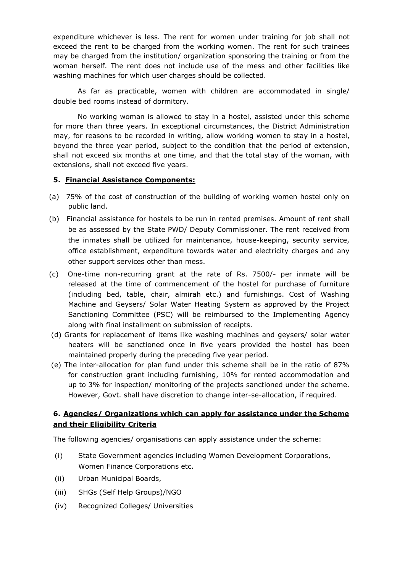expenditure whichever is less. The rent for women under training for job shall not exceed the rent to be charged from the working women. The rent for such trainees may be charged from the institution/ organization sponsoring the training or from the woman herself. The rent does not include use of the mess and other facilities like washing machines for which user charges should be collected.

As far as practicable, women with children are accommodated in single/ double bed rooms instead of dormitory.

No working woman is allowed to stay in a hostel, assisted under this scheme for more than three years. In exceptional circumstances, the District Administration may, for reasons to be recorded in writing, allow working women to stay in a hostel, beyond the three year period, subject to the condition that the period of extension, shall not exceed six months at one time, and that the total stay of the woman, with extensions, shall not exceed five years.

### 5. Financial Assistance Components:

- (a) 75% of the cost of construction of the building of working women hostel only on public land.
- (b) Financial assistance for hostels to be run in rented premises. Amount of rent shall be as assessed by the State PWD/ Deputy Commissioner. The rent received from the inmates shall be utilized for maintenance, house-keeping, security service, office establishment, expenditure towards water and electricity charges and any other support services other than mess.
- (c) One-time non-recurring grant at the rate of Rs. 7500/- per inmate will be released at the time of commencement of the hostel for purchase of furniture (including bed, table, chair, almirah etc.) and furnishings. Cost of Washing Machine and Geysers/ Solar Water Heating System as approved by the Project Sanctioning Committee (PSC) will be reimbursed to the Implementing Agency along with final installment on submission of receipts.
- (d) Grants for replacement of items like washing machines and geysers/ solar water heaters will be sanctioned once in five years provided the hostel has been maintained properly during the preceding five year period.
- (e) The inter-allocation for plan fund under this scheme shall be in the ratio of 87% for construction grant including furnishing, 10% for rented accommodation and up to 3% for inspection/ monitoring of the projects sanctioned under the scheme. However, Govt. shall have discretion to change inter-se-allocation, if required.

# 6. Agencies/ Organizations which can apply for assistance under the Scheme and their Eligibility Criteria

The following agencies/ organisations can apply assistance under the scheme:

- (i) State Government agencies including Women Development Corporations, Women Finance Corporations etc.
- (ii) Urban Municipal Boards,
- (iii) SHGs (Self Help Groups)/NGO
- (iv) Recognized Colleges/ Universities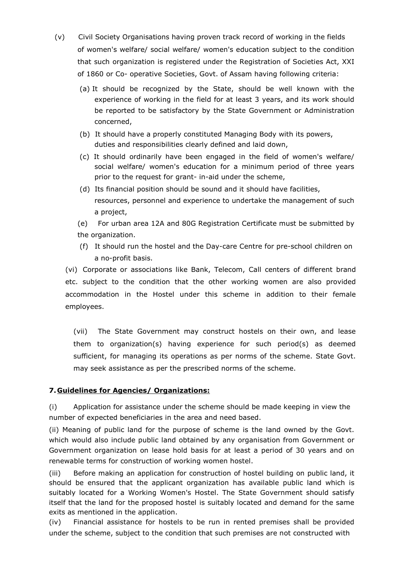- (v) Civil Society Organisations having proven track record of working in the fields of women's welfare/ social welfare/ women's education subject to the condition that such organization is registered under the Registration of Societies Act, XXI of 1860 or Co- operative Societies, Govt. of Assam having following criteria:
	- (a) It should be recognized by the State, should be well known with the experience of working in the field for at least 3 years, and its work should be reported to be satisfactory by the State Government or Administration concerned,
	- (b) It should have a properly constituted Managing Body with its powers, duties and responsibilities clearly defined and laid down,
	- (c) It should ordinarily have been engaged in the field of women's welfare/ social welfare/ women's education for a minimum period of three years prior to the request for grant- in-aid under the scheme,
	- (d) Its financial position should be sound and it should have facilities, resources, personnel and experience to undertake the management of such a project,

(e) For urban area 12A and 80G Registration Certificate must be submitted by the organization.

(f) It should run the hostel and the Day-care Centre for pre-school children on a no-profit basis.

(vi) Corporate or associations like Bank, Telecom, Call centers of different brand etc. subject to the condition that the other working women are also provided accommodation in the Hostel under this scheme in addition to their female employees.

(vii) The State Government may construct hostels on their own, and lease them to organization(s) having experience for such period(s) as deemed sufficient, for managing its operations as per norms of the scheme. State Govt. may seek assistance as per the prescribed norms of the scheme.

# 7.Guidelines for Agencies/ Organizations:

(i) Application for assistance under the scheme should be made keeping in view the number of expected beneficiaries in the area and need based.

(ii) Meaning of public land for the purpose of scheme is the land owned by the Govt. which would also include public land obtained by any organisation from Government or Government organization on lease hold basis for at least a period of 30 years and on renewable terms for construction of working women hostel.

(iii) Before making an application for construction of hostel building on public land, it should be ensured that the applicant organization has available public land which is suitably located for a Working Women's Hostel. The State Government should satisfy itself that the land for the proposed hostel is suitably located and demand for the same exits as mentioned in the application.

(iv) Financial assistance for hostels to be run in rented premises shall be provided under the scheme, subject to the condition that such premises are not constructed with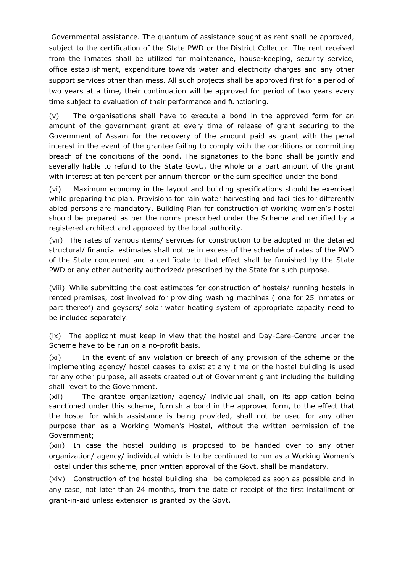Governmental assistance. The quantum of assistance sought as rent shall be approved, subject to the certification of the State PWD or the District Collector. The rent received from the inmates shall be utilized for maintenance, house-keeping, security service, office establishment, expenditure towards water and electricity charges and any other support services other than mess. All such projects shall be approved first for a period of two years at a time, their continuation will be approved for period of two years every time subject to evaluation of their performance and functioning.

(v) The organisations shall have to execute a bond in the approved form for an amount of the government grant at every time of release of grant securing to the Government of Assam for the recovery of the amount paid as grant with the penal interest in the event of the grantee failing to comply with the conditions or committing breach of the conditions of the bond. The signatories to the bond shall be jointly and severally liable to refund to the State Govt., the whole or a part amount of the grant with interest at ten percent per annum thereon or the sum specified under the bond.

(vi) Maximum economy in the layout and building specifications should be exercised while preparing the plan. Provisions for rain water harvesting and facilities for differently abled persons are mandatory. Building Plan for construction of working women's hostel should be prepared as per the norms prescribed under the Scheme and certified by a registered architect and approved by the local authority.

(vii) The rates of various items/ services for construction to be adopted in the detailed structural/ financial estimates shall not be in excess of the schedule of rates of the PWD of the State concerned and a certificate to that effect shall be furnished by the State PWD or any other authority authorized/ prescribed by the State for such purpose.

(viii) While submitting the cost estimates for construction of hostels/ running hostels in rented premises, cost involved for providing washing machines ( one for 25 inmates or part thereof) and geysers/ solar water heating system of appropriate capacity need to be included separately.

(ix) The applicant must keep in view that the hostel and Day-Care-Centre under the Scheme have to be run on a no-profit basis.

(xi) In the event of any violation or breach of any provision of the scheme or the implementing agency/ hostel ceases to exist at any time or the hostel building is used for any other purpose, all assets created out of Government grant including the building shall revert to the Government.

(xii) The grantee organization/ agency/ individual shall, on its application being sanctioned under this scheme, furnish a bond in the approved form, to the effect that the hostel for which assistance is being provided, shall not be used for any other purpose than as a Working Women's Hostel, without the written permission of the Government;

(xiii) In case the hostel building is proposed to be handed over to any other organization/ agency/ individual which is to be continued to run as a Working Women's Hostel under this scheme, prior written approval of the Govt. shall be mandatory.

(xiv) Construction of the hostel building shall be completed as soon as possible and in any case, not later than 24 months, from the date of receipt of the first installment of grant-in-aid unless extension is granted by the Govt.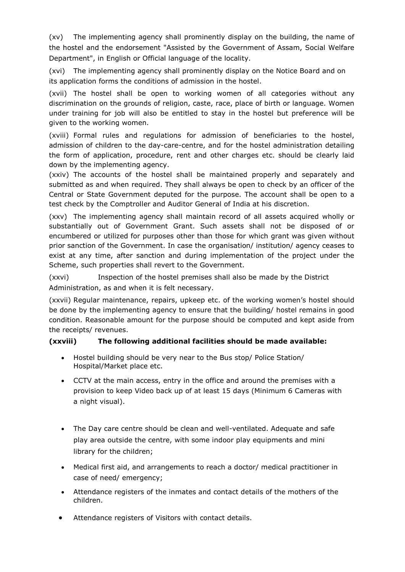(xv) The implementing agency shall prominently display on the building, the name of the hostel and the endorsement "Assisted by the Government of Assam, Social Welfare Department", in English or Official language of the locality.

(xvi) The implementing agency shall prominently display on the Notice Board and on its application forms the conditions of admission in the hostel.

(xvii) The hostel shall be open to working women of all categories without any discrimination on the grounds of religion, caste, race, place of birth or language. Women under training for job will also be entitled to stay in the hostel but preference will be given to the working women.

(xviii) Formal rules and regulations for admission of beneficiaries to the hostel, admission of children to the day-care-centre, and for the hostel administration detailing the form of application, procedure, rent and other charges etc. should be clearly laid down by the implementing agency.

(xxiv) The accounts of the hostel shall be maintained properly and separately and submitted as and when required. They shall always be open to check by an officer of the Central or State Government deputed for the purpose. The account shall be open to a test check by the Comptroller and Auditor General of India at his discretion.

(xxv) The implementing agency shall maintain record of all assets acquired wholly or substantially out of Government Grant. Such assets shall not be disposed of or encumbered or utilized for purposes other than those for which grant was given without prior sanction of the Government. In case the organisation/ institution/ agency ceases to exist at any time, after sanction and during implementation of the project under the Scheme, such properties shall revert to the Government.

(xxvi) Inspection of the hostel premises shall also be made by the District Administration, as and when it is felt necessary.

(xxvii) Regular maintenance, repairs, upkeep etc. of the working women's hostel should be done by the implementing agency to ensure that the building/ hostel remains in good condition. Reasonable amount for the purpose should be computed and kept aside from the receipts/ revenues.

# (xxviii) The following additional facilities should be made available:

- Hostel building should be very near to the Bus stop/ Police Station/ Hospital/Market place etc.
- CCTV at the main access, entry in the office and around the premises with a provision to keep Video back up of at least 15 days (Minimum 6 Cameras with a night visual).
- The Day care centre should be clean and well-ventilated. Adequate and safe play area outside the centre, with some indoor play equipments and mini library for the children;
- Medical first aid, and arrangements to reach a doctor/ medical practitioner in case of need/ emergency;
- Attendance registers of the inmates and contact details of the mothers of the children.
- Attendance registers of Visitors with contact details.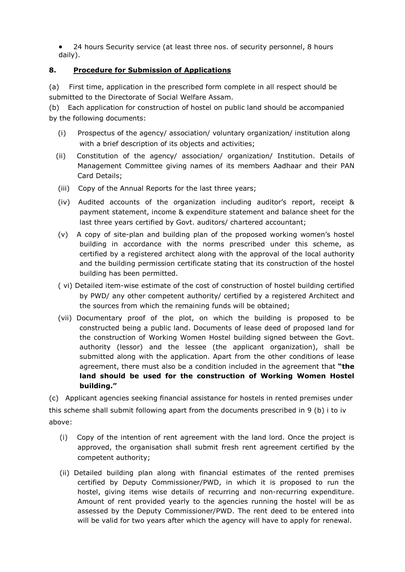24 hours Security service (at least three nos. of security personnel, 8 hours daily).

# 8. Procedure for Submission of Applications

(a) First time, application in the prescribed form complete in all respect should be submitted to the Directorate of Social Welfare Assam.

(b) Each application for construction of hostel on public land should be accompanied by the following documents:

- (i) Prospectus of the agency/ association/ voluntary organization/ institution along with a brief description of its objects and activities;
- (ii) Constitution of the agency/ association/ organization/ Institution. Details of Management Committee giving names of its members Aadhaar and their PAN Card Details;
- (iii) Copy of the Annual Reports for the last three years;
- (iv) Audited accounts of the organization including auditor's report, receipt & payment statement, income & expenditure statement and balance sheet for the last three years certified by Govt. auditors/ chartered accountant;
- (v) A copy of site-plan and building plan of the proposed working women's hostel building in accordance with the norms prescribed under this scheme, as certified by a registered architect along with the approval of the local authority and the building permission certificate stating that its construction of the hostel building has been permitted.
- ( vi) Detailed item-wise estimate of the cost of construction of hostel building certified by PWD/ any other competent authority/ certified by a registered Architect and the sources from which the remaining funds will be obtained;
- (vii) Documentary proof of the plot, on which the building is proposed to be constructed being a public land. Documents of lease deed of proposed land for the construction of Working Women Hostel building signed between the Govt. authority (lessor) and the lessee (the applicant organization), shall be submitted along with the application. Apart from the other conditions of lease agreement, there must also be a condition included in the agreement that "the land should be used for the construction of Working Women Hostel building."

(c) Applicant agencies seeking financial assistance for hostels in rented premises under this scheme shall submit following apart from the documents prescribed in 9 (b) i to iv above:

- (i) Copy of the intention of rent agreement with the land lord. Once the project is approved, the organisation shall submit fresh rent agreement certified by the competent authority;
- (ii) Detailed building plan along with financial estimates of the rented premises certified by Deputy Commissioner/PWD, in which it is proposed to run the hostel, giving items wise details of recurring and non-recurring expenditure. Amount of rent provided yearly to the agencies running the hostel will be as assessed by the Deputy Commissioner/PWD. The rent deed to be entered into will be valid for two years after which the agency will have to apply for renewal.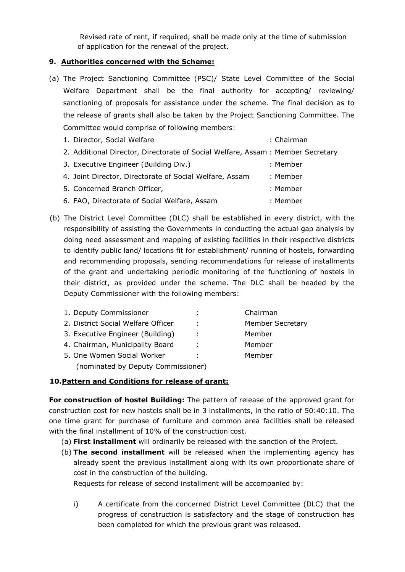Revised rate of rent, if required, shall be made only at the time of submission of application for the renewal of the project.

## 9. Authorities concerned with the Scheme:

- (a) The Project Sanctioning Committee (PSC)/ State Level Committee of the Social Welfare Department shall be the final authority for accepting/ reviewing/ sanctioning of proposals for assistance under the scheme. The final decision as to the release of grants shall also be taken by the Project Sanctioning Committee. The Committee would comprise of following members:
	- 1. Director, Social Welfare : Chairman 2. Additional Director, Directorate of Social Welfare, Assam : Member Secretary 3. Executive Engineer (Building Div.) : Member 4. Joint Director, Directorate of Social Welfare, Assam : Member 5. Concerned Branch Officer, in the same state of the Second School and School and School and School and School and School and School and School and School and School and School and School and School and School and School 6. FAO, Directorate of Social Welfare, Assam : Member
- (b) The District Level Committee (DLC) shall be established in every district, with the responsibility of assisting the Governments in conducting the actual gap analysis by doing need assessment and mapping of existing facilities in their respective districts to identify public land/ locations fit for establishment/ running of hostels, forwarding and recommending proposals, sending recommendations for release of installments of the grant and undertaking periodic monitoring of the functioning of hostels in their district, as provided under the scheme. The DLC shall be headed by the Deputy Commissioner with the following members:

| 1. Deputy Commissioner             |     | Chairman                |
|------------------------------------|-----|-------------------------|
| 2. District Social Welfare Officer | ÷.  | <b>Member Secretary</b> |
| 3. Executive Engineer (Building)   | И., | Member                  |
| 4. Chairman, Municipality Board    | ÷   | Member                  |
| 5. One Women Social Worker         | ÷   | Member                  |
| (nominated by Deputy Commissioner) |     |                         |

## 10.Pattern and Conditions for release of grant:

For construction of hostel Building: The pattern of release of the approved grant for construction cost for new hostels shall be in 3 installments, in the ratio of 50:40:10. The one time grant for purchase of furniture and common area facilities shall be released with the final installment of 10% of the construction cost.

- (a) First installment will ordinarily be released with the sanction of the Project.
- (b) The second installment will be released when the implementing agency has already spent the previous installment along with its own proportionate share of cost in the construction of the building.

Requests for release of second installment will be accompanied by:

i) A certificate from the concerned District Level Committee (DLC) that the progress of construction is satisfactory and the stage of construction has been completed for which the previous grant was released.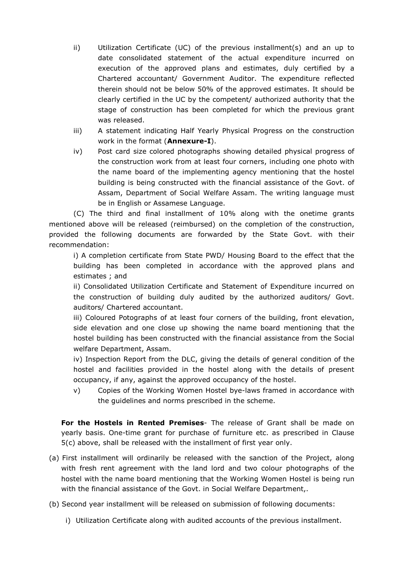- ii) Utilization Certificate (UC) of the previous installment(s) and an up to date consolidated statement of the actual expenditure incurred on execution of the approved plans and estimates, duly certified by a Chartered accountant/ Government Auditor. The expenditure reflected therein should not be below 50% of the approved estimates. It should be clearly certified in the UC by the competent/ authorized authority that the stage of construction has been completed for which the previous grant was released.
- iii) A statement indicating Half Yearly Physical Progress on the construction work in the format (**Annexure-I**).
- iv) Post card size colored photographs showing detailed physical progress of the construction work from at least four corners, including one photo with the name board of the implementing agency mentioning that the hostel building is being constructed with the financial assistance of the Govt. of Assam, Department of Social Welfare Assam. The writing language must be in English or Assamese Language.

(C) The third and final installment of 10% along with the onetime grants mentioned above will be released (reimbursed) on the completion of the construction, provided the following documents are forwarded by the State Govt. with their recommendation:

i) A completion certificate from State PWD/ Housing Board to the effect that the building has been completed in accordance with the approved plans and estimates ; and

ii) Consolidated Utilization Certificate and Statement of Expenditure incurred on the construction of building duly audited by the authorized auditors/ Govt. auditors/ Chartered accountant.

iii) Coloured Potographs of at least four corners of the building, front elevation, side elevation and one close up showing the name board mentioning that the hostel building has been constructed with the financial assistance from the Social welfare Department, Assam.

iv) Inspection Report from the DLC, giving the details of general condition of the hostel and facilities provided in the hostel along with the details of present occupancy, if any, against the approved occupancy of the hostel.

v) Copies of the Working Women Hostel bye-laws framed in accordance with the guidelines and norms prescribed in the scheme.

For the Hostels in Rented Premises- The release of Grant shall be made on yearly basis. One-time grant for purchase of furniture etc. as prescribed in Clause 5(c) above, shall be released with the installment of first year only.

(a) First installment will ordinarily be released with the sanction of the Project, along with fresh rent agreement with the land lord and two colour photographs of the hostel with the name board mentioning that the Working Women Hostel is being run with the financial assistance of the Govt. in Social Welfare Department,.

(b) Second year installment will be released on submission of following documents:

i) Utilization Certificate along with audited accounts of the previous installment.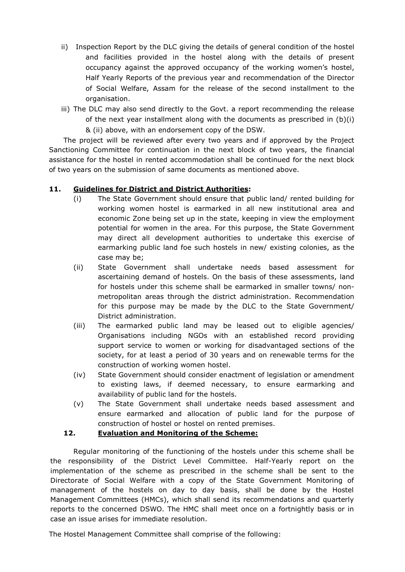- ii) Inspection Report by the DLC giving the details of general condition of the hostel and facilities provided in the hostel along with the details of present occupancy against the approved occupancy of the working women's hostel, Half Yearly Reports of the previous year and recommendation of the Director of Social Welfare, Assam for the release of the second installment to the organisation.
- iii) The DLC may also send directly to the Govt. a report recommending the release of the next year installment along with the documents as prescribed in (b)(i) & (ii) above, with an endorsement copy of the DSW.

The project will be reviewed after every two years and if approved by the Project Sanctioning Committee for continuation in the next block of two years, the financial assistance for the hostel in rented accommodation shall be continued for the next block of two years on the submission of same documents as mentioned above.

## 11. Guidelines for District and District Authorities:

- (i) The State Government should ensure that public land/ rented building for working women hostel is earmarked in all new institutional area and economic Zone being set up in the state, keeping in view the employment potential for women in the area. For this purpose, the State Government may direct all development authorities to undertake this exercise of earmarking public land foe such hostels in new/ existing colonies, as the case may be;
- (ii) State Government shall undertake needs based assessment for ascertaining demand of hostels. On the basis of these assessments, land for hostels under this scheme shall be earmarked in smaller towns/ nonmetropolitan areas through the district administration. Recommendation for this purpose may be made by the DLC to the State Government/ District administration.
- (iii) The earmarked public land may be leased out to eligible agencies/ Organisations including NGOs with an established record providing support service to women or working for disadvantaged sections of the society, for at least a period of 30 years and on renewable terms for the construction of working women hostel.
- (iv) State Government should consider enactment of legislation or amendment to existing laws, if deemed necessary, to ensure earmarking and availability of public land for the hostels.
- (v) The State Government shall undertake needs based assessment and ensure earmarked and allocation of public land for the purpose of construction of hostel or hostel on rented premises.

## 12. Evaluation and Monitoring of the Scheme:

Regular monitoring of the functioning of the hostels under this scheme shall be the responsibility of the District Level Committee. Half-Yearly report on the implementation of the scheme as prescribed in the scheme shall be sent to the Directorate of Social Welfare with a copy of the State Government Monitoring of management of the hostels on day to day basis, shall be done by the Hostel Management Committees (HMCs), which shall send its recommendations and quarterly reports to the concerned DSWO. The HMC shall meet once on a fortnightly basis or in case an issue arises for immediate resolution.

The Hostel Management Committee shall comprise of the following: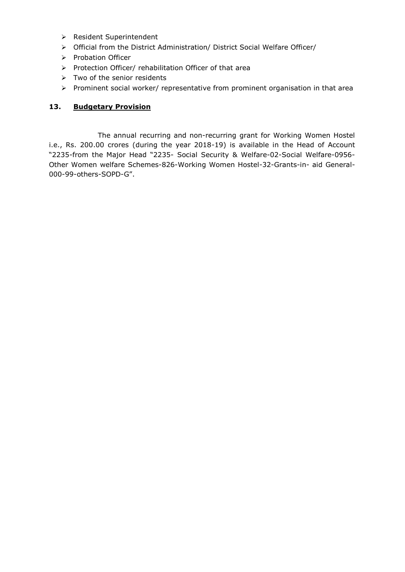- ▶ Resident Superintendent
- Official from the District Administration/ District Social Welfare Officer/
- > Probation Officer
- $\triangleright$  Protection Officer/ rehabilitation Officer of that area
- $\triangleright$  Two of the senior residents
- $\triangleright$  Prominent social worker/ representative from prominent organisation in that area

## 13. Budgetary Provision

 The annual recurring and non-recurring grant for Working Women Hostel i.e., Rs. 200.00 crores (during the year 2018-19) is available in the Head of Account "2235-from the Major Head "2235- Social Security & Welfare-02-Social Welfare-0956- Other Women welfare Schemes-826-Working Women Hostel-32-Grants-in- aid General-000-99-others-SOPD-G".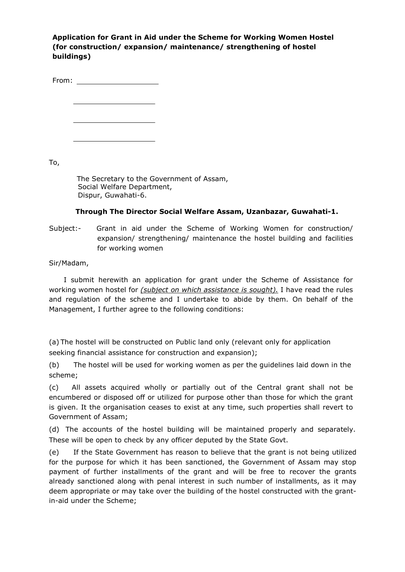Application for Grant in Aid under the Scheme for Working Women Hostel (for construction/ expansion/ maintenance/ strengthening of hostel buildings)

From:

To,

The Secretary to the Government of Assam, Social Welfare Department, Dispur, Guwahati-6.

## Through The Director Social Welfare Assam, Uzanbazar, Guwahati-1.

Subject:- Grant in aid under the Scheme of Working Women for construction/ expansion/ strengthening/ maintenance the hostel building and facilities for working women

Sir/Madam,

I submit herewith an application for grant under the Scheme of Assistance for working women hostel for *(subject on which assistance is sought)*. I have read the rules and regulation of the scheme and I undertake to abide by them. On behalf of the Management, I further agree to the following conditions:

(a) The hostel will be constructed on Public land only (relevant only for application seeking financial assistance for construction and expansion);

(b) The hostel will be used for working women as per the guidelines laid down in the scheme;

(c) All assets acquired wholly or partially out of the Central grant shall not be encumbered or disposed off or utilized for purpose other than those for which the grant is given. It the organisation ceases to exist at any time, such properties shall revert to Government of Assam;

(d) The accounts of the hostel building will be maintained properly and separately. These will be open to check by any officer deputed by the State Govt.

(e) If the State Government has reason to believe that the grant is not being utilized for the purpose for which it has been sanctioned, the Government of Assam may stop payment of further installments of the grant and will be free to recover the grants already sanctioned along with penal interest in such number of installments, as it may deem appropriate or may take over the building of the hostel constructed with the grantin-aid under the Scheme;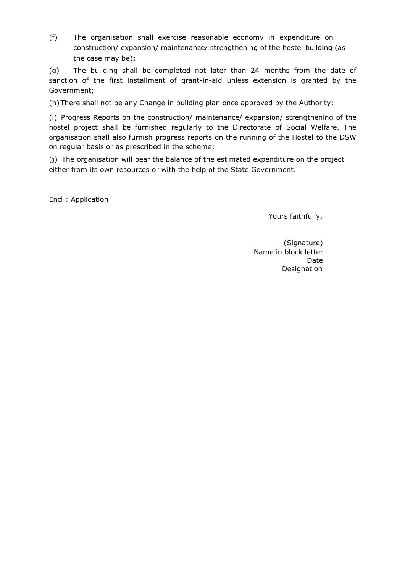(f) The organisation shall exercise reasonable economy in expenditure on construction/ expansion/ maintenance/ strengthening of the hostel building (as the case may be);

(g) The building shall be completed not later than 24 months from the date of sanction of the first installment of grant-in-aid unless extension is granted by the Government;

(h) There shall not be any Change in building plan once approved by the Authority;

(i) Progress Reports on the construction/ maintenance/ expansion/ strengthening of the hostel project shall be furnished regularly to the Directorate of Social Welfare. The organisation shall also furnish progress reports on the running of the Hostel to the DSW on regular basis or as prescribed in the scheme;

(j) The organisation will bear the balance of the estimated expenditure on the project either from its own resources or with the help of the State Government.

Encl : Application

Yours faithfully,

(Signature) Name in block letter Date Designation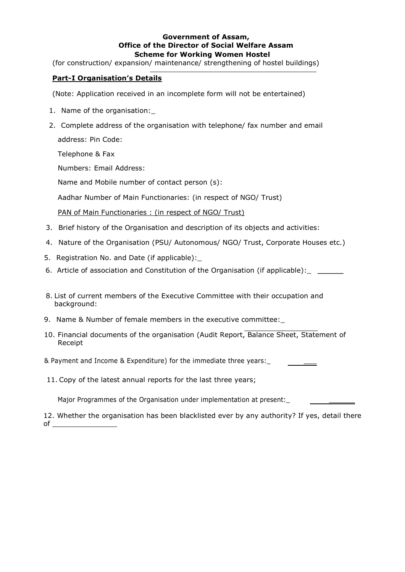### Government of Assam, Office of the Director of Social Welfare Assam Scheme for Working Women Hostel

(for construction/ expansion/ maintenance/ strengthening of hostel buildings)

## Part-I Organisation's Details

(Note: Application received in an incomplete form will not be entertained)

- 1. Name of the organisation:\_
- 2. Complete address of the organisation with telephone/ fax number and email address: Pin Code:

Telephone & Fax

Numbers: Email Address:

Name and Mobile number of contact person (s):

Aadhar Number of Main Functionaries: (in respect of NGO/ Trust)

PAN of Main Functionaries : (in respect of NGO/ Trust)

- 3. Brief history of the Organisation and description of its objects and activities:
- 4. Nature of the Organisation (PSU/ Autonomous/ NGO/ Trust, Corporate Houses etc.)
- 5. Registration No. and Date (if applicable):\_
- 6. Article of association and Constitution of the Organisation (if applicable): \_ \_\_\_\_\_\_
- 8. List of current members of the Executive Committee with their occupation and background:
- 9. Name & Number of female members in the executive committee:\_
- 10. Financial documents of the organisation (Audit Report, Balance Sheet, Statement of Receipt

& Payment and Income & Expenditure) for the immediate three years:\_ \_\_\_

11. Copy of the latest annual reports for the last three years;

Major Programmes of the Organisation under implementation at present:

12. Whether the organisation has been blacklisted ever by any authority? If yes, detail there of  $\hspace{.1in}$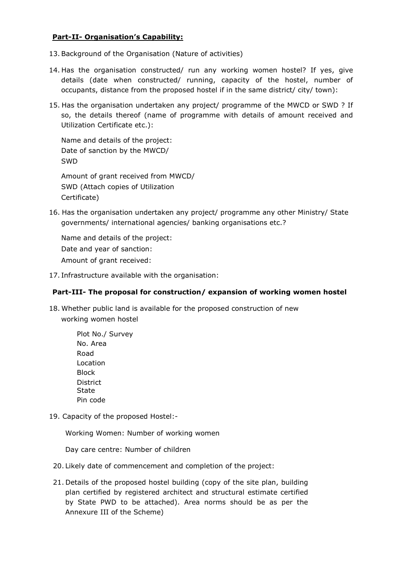## Part-II- Organisation's Capability:

- 13. Background of the Organisation (Nature of activities)
- 14. Has the organisation constructed/ run any working women hostel? If yes, give details (date when constructed/ running, capacity of the hostel, number of occupants, distance from the proposed hostel if in the same district/ city/ town):
- 15. Has the organisation undertaken any project/ programme of the MWCD or SWD ? If so, the details thereof (name of programme with details of amount received and Utilization Certificate etc.):

Name and details of the project: Date of sanction by the MWCD/ SWD

Amount of grant received from MWCD/ SWD (Attach copies of Utilization Certificate)

16. Has the organisation undertaken any project/ programme any other Ministry/ State governments/ international agencies/ banking organisations etc.?

Name and details of the project: Date and year of sanction: Amount of grant received:

17. Infrastructure available with the organisation:

## Part-III- The proposal for construction/ expansion of working women hostel

18. Whether public land is available for the proposed construction of new working women hostel

| Plot No./ Survey |
|------------------|
| No. Area         |
| Road             |
| Location         |
| <b>Block</b>     |
| District         |
| State            |
| Pin code         |

19. Capacity of the proposed Hostel:-

Working Women: Number of working women

Day care centre: Number of children

- 20. Likely date of commencement and completion of the project:
- 21. Details of the proposed hostel building (copy of the site plan, building plan certified by registered architect and structural estimate certified by State PWD to be attached). Area norms should be as per the Annexure III of the Scheme)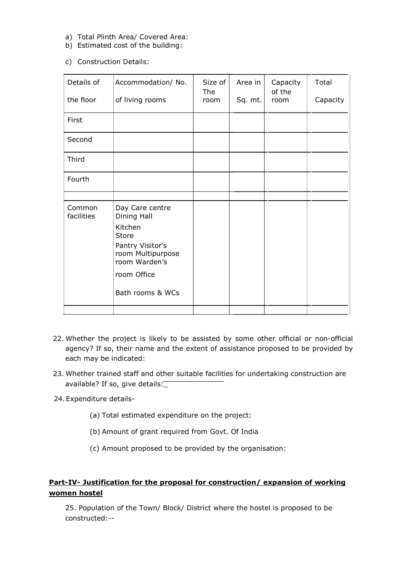- a) Total Plinth Area/ Covered Area:
- b) Estimated cost of the building:
- c) Construction Details:

| Details of<br>the floor | Accommodation/ No.<br>of living rooms                  | Size of<br>The<br>room | Area in<br>Sq. mt. | Capacity<br>of the<br>room | Total<br>Capacity |
|-------------------------|--------------------------------------------------------|------------------------|--------------------|----------------------------|-------------------|
| First                   |                                                        |                        |                    |                            |                   |
| Second                  |                                                        |                        |                    |                            |                   |
| Third                   |                                                        |                        |                    |                            |                   |
| Fourth                  |                                                        |                        |                    |                            |                   |
|                         |                                                        |                        |                    |                            |                   |
| Common<br>facilities    | Day Care centre<br>Dining Hall                         |                        |                    |                            |                   |
|                         | Kitchen<br><b>Store</b>                                |                        |                    |                            |                   |
|                         | Pantry Visitor's<br>room Multipurpose<br>room Warden's |                        |                    |                            |                   |
|                         | room Office                                            |                        |                    |                            |                   |
|                         | Bath rooms & WCs                                       |                        |                    |                            |                   |
|                         |                                                        |                        |                    |                            |                   |

- 22. Whether the project is likely to be assisted by some other official or non-official agency? If so, their name and the extent of assistance proposed to be provided by each may be indicated:
- 23. Whether trained staff and other suitable facilities for undertaking construction are available? If so, give details:\_
- 24.Expenditure details-
	- (a) Total estimated expenditure on the project:
	- (b) Amount of grant required from Govt. Of India
	- (c) Amount proposed to be provided by the organisation:

# Part-IV- Justification for the proposal for construction/ expansion of working women hostel

25. Population of the Town/ Block/ District where the hostel is proposed to be constructed:--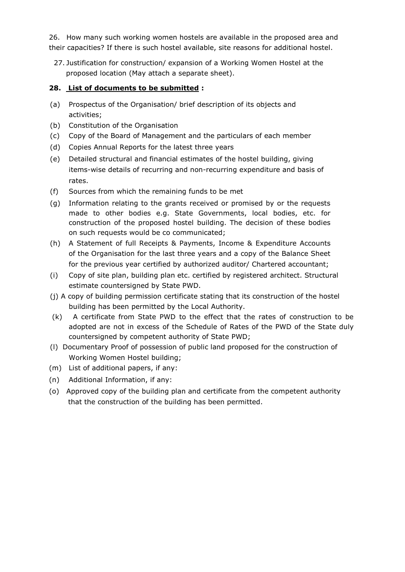26. How many such working women hostels are available in the proposed area and their capacities? If there is such hostel available, site reasons for additional hostel.

27. Justification for construction/ expansion of a Working Women Hostel at the proposed location (May attach a separate sheet).

## 28. List of documents to be submitted :

- (a) Prospectus of the Organisation/ brief description of its objects and activities;
- (b) Constitution of the Organisation
- (c) Copy of the Board of Management and the particulars of each member
- (d) Copies Annual Reports for the latest three years
- (e) Detailed structural and financial estimates of the hostel building, giving items-wise details of recurring and non-recurring expenditure and basis of rates.
- (f) Sources from which the remaining funds to be met
- (g) Information relating to the grants received or promised by or the requests made to other bodies e.g. State Governments, local bodies, etc. for construction of the proposed hostel building. The decision of these bodies on such requests would be co communicated;
- (h) A Statement of full Receipts & Payments, Income & Expenditure Accounts of the Organisation for the last three years and a copy of the Balance Sheet for the previous year certified by authorized auditor/ Chartered accountant;
- (i) Copy of site plan, building plan etc. certified by registered architect. Structural estimate countersigned by State PWD.
- (j) A copy of building permission certificate stating that its construction of the hostel building has been permitted by the Local Authority.
- (k) A certificate from State PWD to the effect that the rates of construction to be adopted are not in excess of the Schedule of Rates of the PWD of the State duly countersigned by competent authority of State PWD;
- (l) Documentary Proof of possession of public land proposed for the construction of Working Women Hostel building;
- (m) List of additional papers, if any:
- (n) Additional Information, if any:
- (o) Approved copy of the building plan and certificate from the competent authority that the construction of the building has been permitted.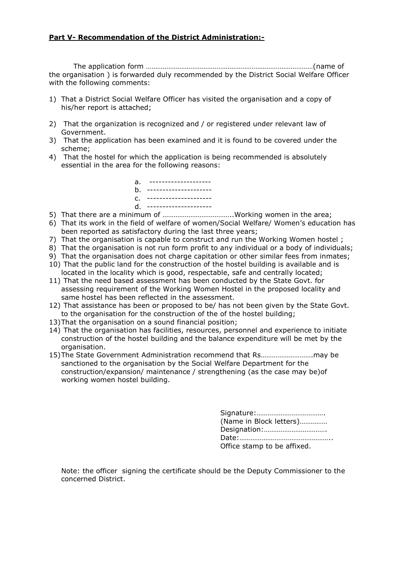### Part V- Recommendation of the District Administration:-

 The application form ………………………………………………………………………………(name of the organisation ) is forwarded duly recommended by the District Social Welfare Officer with the following comments:

- 1) That a District Social Welfare Officer has visited the organisation and a copy of his/her report is attached;
- 2) That the organization is recognized and / or registered under relevant law of Government.
- 3) That the application has been examined and it is found to be covered under the scheme;
- 4) That the hostel for which the application is being recommended is absolutely essential in the area for the following reasons:

| a. ---------------------<br>b. ----------------------  |
|--------------------------------------------------------|
| C. ----------------------<br>d. ---------------------- |
|                                                        |

- 5) That there are a minimum of ………………………………..Working women in the area;
- 6) That its work in the field of welfare of women/Social Welfare/ Women's education has been reported as satisfactory during the last three years;
- 7) That the organisation is capable to construct and run the Working Women hostel ;
- 8) That the organisation is not run form profit to any individual or a body of individuals;
- 9) That the organisation does not charge capitation or other similar fees from inmates;
- 10) That the public land for the construction of the hostel building is available and is located in the locality which is good, respectable, safe and centrally located;
- 11) That the need based assessment has been conducted by the State Govt. for assessing requirement of the Working Women Hostel in the proposed locality and same hostel has been reflected in the assessment.
- 12) That assistance has been or proposed to be/ has not been given by the State Govt. to the organisation for the construction of the of the hostel building;
- 13)That the organisation on a sound financial position;
- 14) That the organisation has facilities, resources, personnel and experience to initiate construction of the hostel building and the balance expenditure will be met by the organisation.
- 15)The State Government Administration recommend that Rs……………………….may be sanctioned to the organisation by the Social Welfare Department for the construction/expansion/ maintenance / strengthening (as the case may be)of working women hostel building.

Signature:………………………………. (Name in Block letters)…………… Designation:……………………………. Date:………………………………………….. Office stamp to be affixed.

Note: the officer signing the certificate should be the Deputy Commissioner to the concerned District.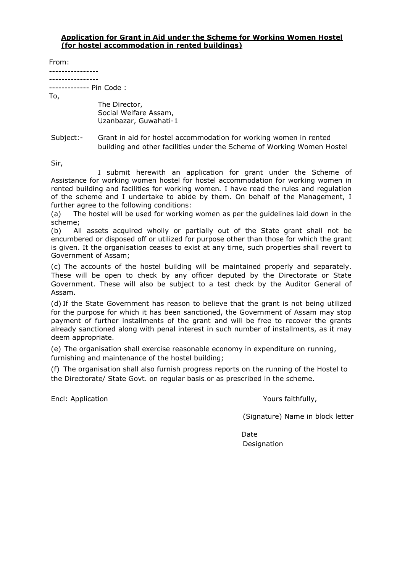#### Application for Grant in Aid under the Scheme for Working Women Hostel (for hostel accommodation in rented buildings)

From:

---------------- ----------------

------------- Pin Code :

To,

The Director, Social Welfare Assam, Uzanbazar, Guwahati-1

Subject:- Grant in aid for hostel accommodation for working women in rented building and other facilities under the Scheme of Working Women Hostel

Sir,

 I submit herewith an application for grant under the Scheme of Assistance for working women hostel for hostel accommodation for working women in rented building and facilities for working women. I have read the rules and regulation of the scheme and I undertake to abide by them. On behalf of the Management, I further agree to the following conditions:

(a) The hostel will be used for working women as per the guidelines laid down in the scheme;

(b) All assets acquired wholly or partially out of the State grant shall not be encumbered or disposed off or utilized for purpose other than those for which the grant is given. It the organisation ceases to exist at any time, such properties shall revert to Government of Assam;

(c) The accounts of the hostel building will be maintained properly and separately. These will be open to check by any officer deputed by the Directorate or State Government. These will also be subject to a test check by the Auditor General of Assam.

(d) If the State Government has reason to believe that the grant is not being utilized for the purpose for which it has been sanctioned, the Government of Assam may stop payment of further installments of the grant and will be free to recover the grants already sanctioned along with penal interest in such number of installments, as it may deem appropriate.

(e) The organisation shall exercise reasonable economy in expenditure on running, furnishing and maintenance of the hostel building;

(f) The organisation shall also furnish progress reports on the running of the Hostel to the Directorate/ State Govt. on regular basis or as prescribed in the scheme.

Encl: Application The Contraction Contraction Contraction Application Number of Application Contraction Application

(Signature) Name in block letter

Date **Designation**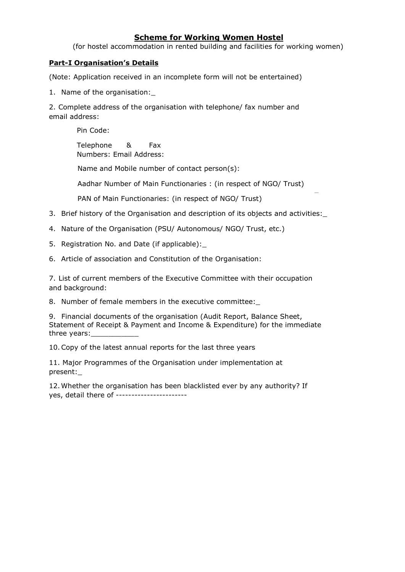## Scheme for Working Women Hostel

(for hostel accommodation in rented building and facilities for working women)

### Part-I Organisation's Details

(Note: Application received in an incomplete form will not be entertained)

1. Name of the organisation:\_

2. Complete address of the organisation with telephone/ fax number and email address:

Pin Code:

Telephone & Fax Numbers: Email Address:

Name and Mobile number of contact person(s):

Aadhar Number of Main Functionaries : (in respect of NGO/ Trust)

PAN of Main Functionaries: (in respect of NGO/ Trust)

- 3. Brief history of the Organisation and description of its objects and activities:\_
- 4. Nature of the Organisation (PSU/ Autonomous/ NGO/ Trust, etc.)
- 5. Registration No. and Date (if applicable):\_

6. Article of association and Constitution of the Organisation:

7. List of current members of the Executive Committee with their occupation and background:

8. Number of female members in the executive committee:

9. Financial documents of the organisation (Audit Report, Balance Sheet, Statement of Receipt & Payment and Income & Expenditure) for the immediate three years:

10.Copy of the latest annual reports for the last three years

11. Major Programmes of the Organisation under implementation at present:\_

12.Whether the organisation has been blacklisted ever by any authority? If yes, detail there of -----------------------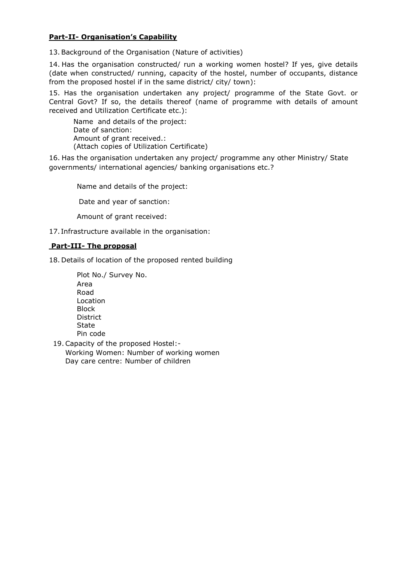## Part-II- Organisation's Capability

13. Background of the Organisation (Nature of activities)

14. Has the organisation constructed/ run a working women hostel? If yes, give details (date when constructed/ running, capacity of the hostel, number of occupants, distance from the proposed hostel if in the same district/ city/ town):

15. Has the organisation undertaken any project/ programme of the State Govt. or Central Govt? If so, the details thereof (name of programme with details of amount received and Utilization Certificate etc.):

 Name and details of the project: Date of sanction: Amount of grant received.: (Attach copies of Utilization Certificate)

16. Has the organisation undertaken any project/ programme any other Ministry/ State governments/ international agencies/ banking organisations etc.?

Name and details of the project:

Date and year of sanction:

Amount of grant received:

17. Infrastructure available in the organisation:

### Part-III- The proposal

18. Details of location of the proposed rented building

- Plot No./ Survey No. Area Road Location Block **District State** Pin code
- 19.Capacity of the proposed Hostel:- Working Women: Number of working women Day care centre: Number of children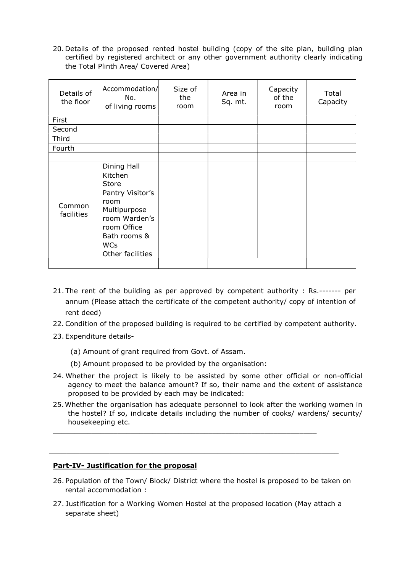20. Details of the proposed rented hostel building (copy of the site plan, building plan certified by registered architect or any other government authority clearly indicating the Total Plinth Area/ Covered Area)

| Details of<br>the floor | Accommodation/<br>No.<br>of living rooms                                                                                                                      | Size of<br>the<br>room | Area in<br>Sq. mt. | Capacity<br>of the<br>room | Total<br>Capacity |
|-------------------------|---------------------------------------------------------------------------------------------------------------------------------------------------------------|------------------------|--------------------|----------------------------|-------------------|
| First                   |                                                                                                                                                               |                        |                    |                            |                   |
| Second                  |                                                                                                                                                               |                        |                    |                            |                   |
| Third                   |                                                                                                                                                               |                        |                    |                            |                   |
| Fourth                  |                                                                                                                                                               |                        |                    |                            |                   |
|                         |                                                                                                                                                               |                        |                    |                            |                   |
| Common<br>facilities    | Dining Hall<br>Kitchen<br>Store<br>Pantry Visitor's<br>room<br>Multipurpose<br>room Warden's<br>room Office<br>Bath rooms &<br><b>WCs</b><br>Other facilities |                        |                    |                            |                   |
|                         |                                                                                                                                                               |                        |                    |                            |                   |

- 21. The rent of the building as per approved by competent authority : Rs.------- per annum (Please attach the certificate of the competent authority/ copy of intention of rent deed)
- 22. Condition of the proposed building is required to be certified by competent authority.
- 23. Expenditure details-
	- (a) Amount of grant required from Govt. of Assam.
	- (b) Amount proposed to be provided by the organisation:
- 24. Whether the project is likely to be assisted by some other official or non-official agency to meet the balance amount? If so, their name and the extent of assistance proposed to be provided by each may be indicated:
- 25.Whether the organisation has adequate personnel to look after the working women in the hostel? If so, indicate details including the number of cooks/ wardens/ security/ housekeeping etc.

 $\_$  , and the set of the set of the set of the set of the set of the set of the set of the set of the set of the set of the set of the set of the set of the set of the set of the set of the set of the set of the set of th

 $\_$  , and the set of the set of the set of the set of the set of the set of the set of the set of the set of the set of the set of the set of the set of the set of the set of the set of the set of the set of the set of th

### Part-IV- Justification for the proposal

- 26. Population of the Town/ Block/ District where the hostel is proposed to be taken on rental accommodation :
- 27. Justification for a Working Women Hostel at the proposed location (May attach a separate sheet)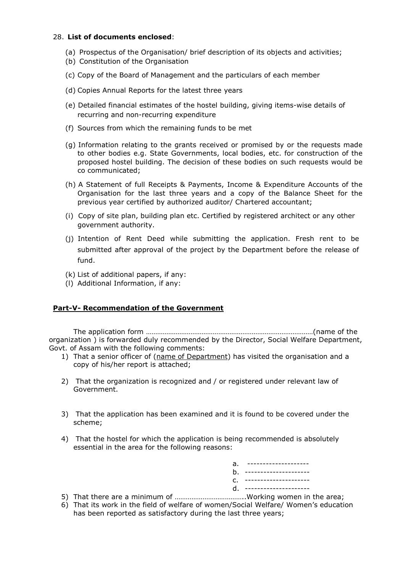#### 28. List of documents enclosed:

- (a) Prospectus of the Organisation/ brief description of its objects and activities;
- (b) Constitution of the Organisation
- (c) Copy of the Board of Management and the particulars of each member
- (d) Copies Annual Reports for the latest three years
- (e) Detailed financial estimates of the hostel building, giving items-wise details of recurring and non-recurring expenditure
- (f) Sources from which the remaining funds to be met
- (g) Information relating to the grants received or promised by or the requests made to other bodies e.g. State Governments, local bodies, etc. for construction of the proposed hostel building. The decision of these bodies on such requests would be co communicated;
- (h) A Statement of full Receipts & Payments, Income & Expenditure Accounts of the Organisation for the last three years and a copy of the Balance Sheet for the previous year certified by authorized auditor/ Chartered accountant;
- (i) Copy of site plan, building plan etc. Certified by registered architect or any other government authority.
- (j) Intention of Rent Deed while submitting the application. Fresh rent to be submitted after approval of the project by the Department before the release of fund.
- (k) List of additional papers, if any:
- (l) Additional Information, if any:

## Part-V- Recommendation of the Government

 The application form ………………………………………………………………………………(name of the organization ) is forwarded duly recommended by the Director, Social Welfare Department, Govt. of Assam with the following comments:

- 1) That a senior officer of (name of Department) has visited the organisation and a copy of his/her report is attached;
- 2) That the organization is recognized and / or registered under relevant law of Government.
- 3) That the application has been examined and it is found to be covered under the scheme;
- 4) That the hostel for which the application is being recommended is absolutely essential in the area for the following reasons:

| a. ---------------------                                                                                                                     |  |
|----------------------------------------------------------------------------------------------------------------------------------------------|--|
| b. ----------------------                                                                                                                    |  |
| C. ----------------------                                                                                                                    |  |
| d. ----------------------<br>the contract of the contract of the contract of the contract of the contract of the contract of the contract of |  |

- 5) That there are a minimum of ………………………………..Working women in the area;
- 6) That its work in the field of welfare of women/Social Welfare/ Women's education has been reported as satisfactory during the last three years;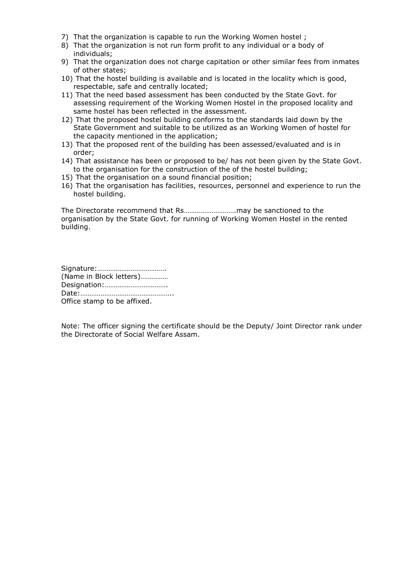- 7) That the organization is capable to run the Working Women hostel ;
- 8) That the organization is not run form profit to any individual or a body of individuals;
- 9) That the organization does not charge capitation or other similar fees from inmates of other states;
- 10) That the hostel building is available and is located in the locality which is good, respectable, safe and centrally located;
- 11) That the need based assessment has been conducted by the State Govt. for assessing requirement of the Working Women Hostel in the proposed locality and same hostel has been reflected in the assessment.
- 12) That the proposed hostel building conforms to the standards laid down by the State Government and suitable to be utilized as an Working Women of hostel for the capacity mentioned in the application;
- 13) That the proposed rent of the building has been assessed/evaluated and is in order;
- 14) That assistance has been or proposed to be/ has not been given by the State Govt. to the organisation for the construction of the of the hostel building;
- 15) That the organisation on a sound financial position;
- 16) That the organisation has facilities, resources, personnel and experience to run the hostel building.

The Directorate recommend that Rs……………………….may be sanctioned to the organisation by the State Govt. for running of Working Women Hostel in the rented building.

Signature:………………………………. (Name in Block letters)…………… Designation:……………………………. Date:………………………………………….. Office stamp to be affixed.

Note: The officer signing the certificate should be the Deputy/ Joint Director rank under the Directorate of Social Welfare Assam.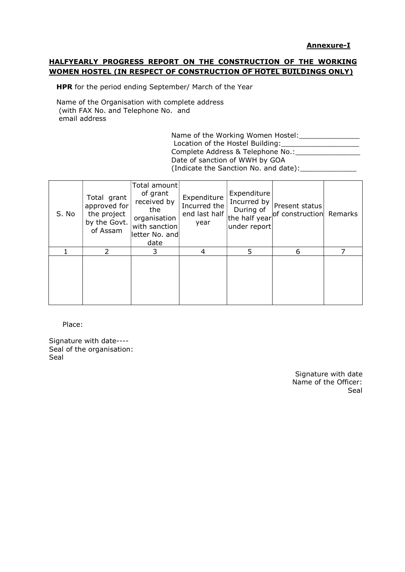#### Annexure-I

## HALFYEARLY PROGRESS REPORT ON THE CONSTRUCTION OF THE WORKING WOMEN HOSTEL (IN RESPECT OF CONSTRUCTION OF HOTEL BUILDINGS ONLY)

HPR for the period ending September/ March of the Year

Name of the Organisation with complete address (with FAX No. and Telephone No. and email address

> Name of the Working Women Hostel:\_\_\_\_\_\_\_\_\_\_\_\_\_\_ Location of the Hostel Building:\_\_\_\_\_\_\_\_\_\_\_\_\_\_\_\_\_\_ Complete Address & Telephone No.: Letteran Management Complete Address & Telephone No.: Date of sanction of WWH by GOA (Indicate the Sanction No. and date):

| S. No | Total grant<br>approved for<br>the project<br>by the Govt.<br>of Assam | Total amount<br>of grant<br>received by<br>the<br>organisation<br>with sanction<br>letter No. and<br>date | Expenditure<br>Incurred the $ $<br>year | Expenditure<br>Incurred by<br>During of<br>under report | Present status<br>end last half the half year of construction Remarks |  |
|-------|------------------------------------------------------------------------|-----------------------------------------------------------------------------------------------------------|-----------------------------------------|---------------------------------------------------------|-----------------------------------------------------------------------|--|
|       |                                                                        |                                                                                                           | 4                                       | 5.                                                      | 6                                                                     |  |
|       |                                                                        |                                                                                                           |                                         |                                                         |                                                                       |  |

Place:

Signature with date---- Seal of the organisation: Seal

> Signature with date Name of the Officer: Seal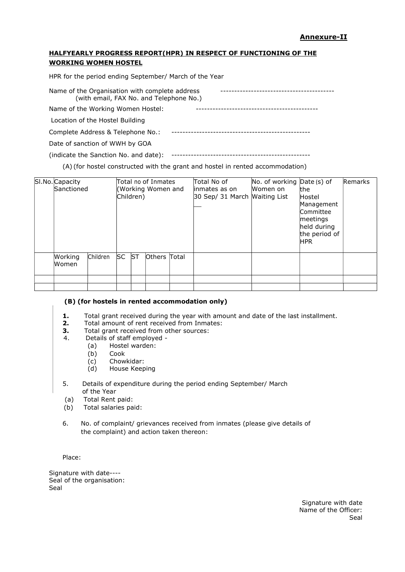### HALFYEARLY PROGRESS REPORT(HPR) IN RESPECT OF FUNCTIONING OF THE WORKING WOMEN HOSTEL

HPR for the period ending September/ March of the Year

Name of the Organisation with complete address ----------------------------------------- (with email, FAX No. and Telephone No.)

Name of the Working Women Hostel: --------------------------------------------

Location of the Hostel Building

| Complete Address & Telephone No.: |  |
|-----------------------------------|--|
|-----------------------------------|--|

Date of sanction of WWH by GOA

(indicate the Sanction No. and date): --------------------------------------------------

(A) (for hostel constructed with the grant and hostel in rented accommodation)

| SI.No. Capacity<br>Sanctioned |          |       | Children) | Total no of Inmates<br>(Working Women and | Total No of<br>inmates as on<br>30 Sep/ 31 March Waiting List | No. of working $Date(s)$ of<br>Women on | lthe<br>Hostel<br>Management<br>Committee<br>meetings<br>held during<br>the period of<br><b>HPR</b> | Remarks |
|-------------------------------|----------|-------|-----------|-------------------------------------------|---------------------------------------------------------------|-----------------------------------------|-----------------------------------------------------------------------------------------------------|---------|
| Working<br>Women              | Children | SC ST |           | Others Total                              |                                                               |                                         |                                                                                                     |         |
|                               |          |       |           |                                           |                                                               |                                         |                                                                                                     |         |
|                               |          |       |           |                                           |                                                               |                                         |                                                                                                     |         |

#### (B) (for hostels in rented accommodation only)

- 1. Total grant received during the year with amount and date of the last installment.
- 2. Total amount of rent received from Inmates:
- **3.** Total grant received from other sources:
- 4. Details of staff employed
	- (a) Hostel warden:
		- (b) Cook
		- (c) Chowkidar:
		- (d) House Keeping
- 5. Details of expenditure during the period ending September/ March of the Year
- (a) Total Rent paid:
- (b) Total salaries paid:
- 6. No. of complaint/ grievances received from inmates (please give details of the complaint) and action taken thereon:

Place:

Signature with date---- Seal of the organisation: Seal

> Signature with date Name of the Officer: Seal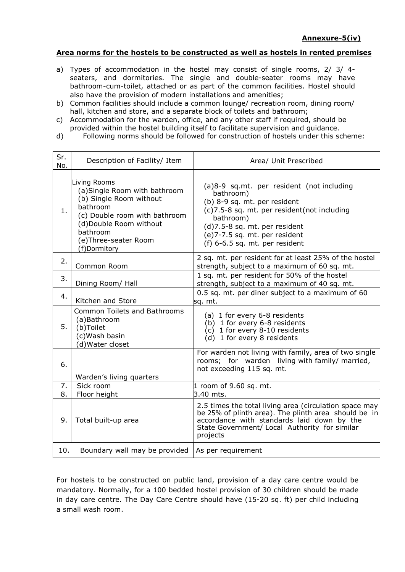#### Area norms for the hostels to be constructed as well as hostels in rented premises

- a) Types of accommodation in the hostel may consist of single rooms, 2/ 3/ 4 seaters, and dormitories. The single and double-seater rooms may have bathroom-cum-toilet, attached or as part of the common facilities. Hostel should also have the provision of modern installations and amenities;
- b) Common facilities should include a common lounge/ recreation room, dining room/ hall, kitchen and store, and a separate block of toilets and bathroom;
- c) Accommodation for the warden, office, and any other staff if required, should be provided within the hostel building itself to facilitate supervision and guidance.
- d) Following norms should be followed for construction of hostels under this scheme:

| Sr.<br>No.       | Description of Facility/ Item                                                                                                                                                                       | Area/ Unit Prescribed                                                                                                                                                                                                                                    |
|------------------|-----------------------------------------------------------------------------------------------------------------------------------------------------------------------------------------------------|----------------------------------------------------------------------------------------------------------------------------------------------------------------------------------------------------------------------------------------------------------|
| 1.               | Living Rooms<br>(a) Single Room with bathroom<br>(b) Single Room without<br>bathroom<br>(c) Double room with bathroom<br>(d)Double Room without<br>bathroom<br>(e)Three-seater Room<br>(f)Dormitory | (a)8-9 sq.mt. per resident (not including<br>bathroom)<br>(b) 8-9 sq. mt. per resident<br>(c)7.5-8 sq. mt. per resident(not including<br>bathroom)<br>(d)7.5-8 sq. mt. per resident<br>(e)7-7.5 sq. mt. per resident<br>(f) $6-6.5$ sq. mt. per resident |
| 2.               | Common Room                                                                                                                                                                                         | 2 sq. mt. per resident for at least 25% of the hostel<br>strength, subject to a maximum of 60 sq. mt.                                                                                                                                                    |
| 3.               | Dining Room/ Hall                                                                                                                                                                                   | 1 sq. mt. per resident for 50% of the hostel<br>strength, subject to a maximum of 40 sq. mt.                                                                                                                                                             |
| 4.               | Kitchen and Store                                                                                                                                                                                   | 0.5 sq. mt. per diner subject to a maximum of 60<br>sq. mt.                                                                                                                                                                                              |
| 5.               | <b>Common Toilets and Bathrooms</b><br>(a)Bathroom<br>(b)Toilet<br>(c) Wash basin<br>(d) Water closet                                                                                               | (a) 1 for every 6-8 residents<br>(b) 1 for every 6-8 residents<br>$(c)$ 1 for every 8-10 residents<br>$(d)$ 1 for every 8 residents                                                                                                                      |
| 6.               | Warden's living quarters                                                                                                                                                                            | For warden not living with family, area of two single<br>rooms; for warden living with family/married,<br>not exceeding 115 sq. mt.                                                                                                                      |
| 7.               | Sick room                                                                                                                                                                                           | 1 room of 9.60 sq. mt.                                                                                                                                                                                                                                   |
| $\overline{8}$ . | Floor height                                                                                                                                                                                        | 3.40 mts.                                                                                                                                                                                                                                                |
| 9.               | Total built-up area                                                                                                                                                                                 | 2.5 times the total living area (circulation space may<br>be 25% of plinth area). The plinth area should be in<br>accordance with standards laid down by the<br>State Government/ Local Authority for similar<br>projects                                |
| 10.              | Boundary wall may be provided                                                                                                                                                                       | As per requirement                                                                                                                                                                                                                                       |

For hostels to be constructed on public land, provision of a day care centre would be mandatory. Normally, for a 100 bedded hostel provision of 30 children should be made in day care centre. The Day Care Centre should have (15-20 sq. ft) per child including a small wash room.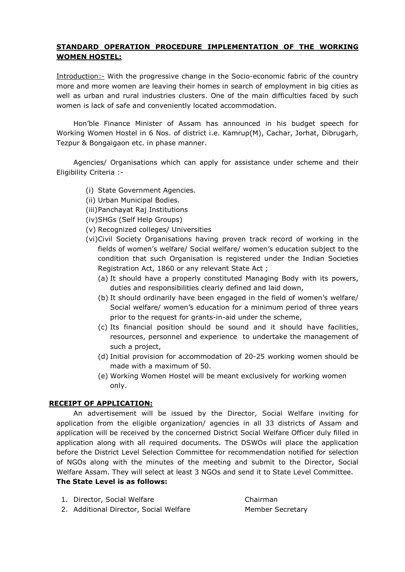## STANDARD OPERATION PROCEDURE IMPLEMENTATION OF THE WORKING WOMEN HOSTEL:

Introduction:- With the progressive change in the Socio-economic fabric of the country more and more women are leaving their homes in search of employment in big cities as well as urban and rural industries clusters. One of the main difficulties faced by such women is lack of safe and conveniently located accommodation.

 Hon'ble Finance Minister of Assam has announced in his budget speech for Working Women Hostel in 6 Nos. of district i.e. Kamrup(M), Cachar, Jorhat, Dibrugarh, Tezpur & Bongaigaon etc. in phase manner.

Agencies/ Organisations which can apply for assistance under scheme and their Eligibility Criteria :-

- (i) State Government Agencies.
- (ii) Urban Municipal Bodies.
- (iii)Panchayat Raj Institutions
- (iv)SHGs (Self Help Groups)
- (v) Recognized colleges/ Universities
- (vi)Civil Society Organisations having proven track record of working in the fields of women's welfare/ Social welfare/ women's education subject to the condition that such Organisation is registered under the Indian Societies Registration Act, 1860 or any relevant State Act ;
	- (a) It should have a properly constituted Managing Body with its powers, duties and responsibilities clearly defined and laid down,
	- (b) It should ordinarily have been engaged in the field of women's welfare/ Social welfare/ women's education for a minimum period of three years prior to the request for grants-in-aid under the scheme,
	- (c) Its financial position should be sound and it should have facilities, resources, personnel and experience to undertake the management of such a project,
	- (d) Initial provision for accommodation of 20-25 working women should be made with a maximum of 50.
	- (e) Working Women Hostel will be meant exclusively for working women only.

#### RECEIPT OF APPLICATION:

An advertisement will be issued by the Director, Social Welfare inviting for application from the eligible organization/ agencies in all 33 districts of Assam and application will be received by the concerned District Social Welfare Officer duly filled in application along with all required documents. The DSWOs will place the application before the District Level Selection Committee for recommendation notified for selection of NGOs along with the minutes of the meeting and submit to the Director, Social Welfare Assam. They will select at least 3 NGOs and send it to State Level Committee. The State Level is as follows:

- 1. Director, Social Welfare Chairman
- 2. Additional Director, Social Welfare Member Secretary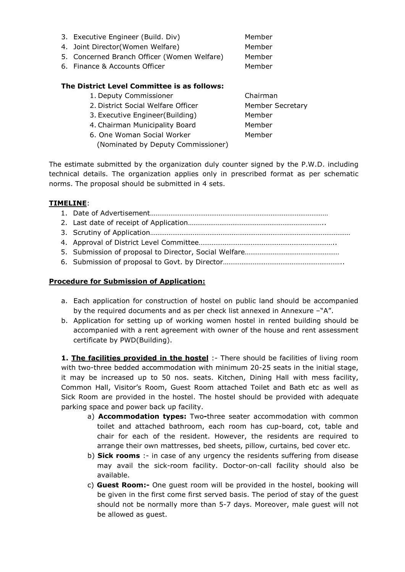| 3. Executive Engineer (Build. Div)<br>4. Joint Director(Women Welfare)<br>5. Concerned Branch Officer (Women Welfare)<br>6. Finance & Accounts Officer | Member<br>Member<br>Member<br>Member   |
|--------------------------------------------------------------------------------------------------------------------------------------------------------|----------------------------------------|
| The District Level Committee is as follows:<br>1. Deputy Commissioner<br>2. District Social Welfare Officer<br>3. Executive Engineer(Building)         | Chairman<br>Member Secretary<br>Member |

6. One Woman Social Worker **Member** (Nominated by Deputy Commissioner)

4. Chairman Municipality Board Member

The estimate submitted by the organization duly counter signed by the P.W.D. including technical details. The organization applies only in prescribed format as per schematic norms. The proposal should be submitted in 4 sets.

## TIMELINE:

## Procedure for Submission of Application:

- a. Each application for construction of hostel on public land should be accompanied by the required documents and as per check list annexed in Annexure –"A".
- b. Application for setting up of working women hostel in rented building should be accompanied with a rent agreement with owner of the house and rent assessment certificate by PWD(Building).

**1. The facilities provided in the hostel** :- There should be facilities of living room with two-three bedded accommodation with minimum 20-25 seats in the initial stage, it may be increased up to 50 nos. seats. Kitchen, Dining Hall with mess facility, Common Hall, Visitor's Room, Guest Room attached Toilet and Bath etc as well as Sick Room are provided in the hostel. The hostel should be provided with adequate parking space and power back up facility.

- a) **Accommodation types:** Two-three seater accommodation with common toilet and attached bathroom, each room has cup-board, cot, table and chair for each of the resident. However, the residents are required to arrange their own mattresses, bed sheets, pillow, curtains, bed cover etc.
- b) Sick rooms :- in case of any urgency the residents suffering from disease may avail the sick-room facility. Doctor-on-call facility should also be available.
- c) Guest Room:- One guest room will be provided in the hostel, booking will be given in the first come first served basis. The period of stay of the guest should not be normally more than 5-7 days. Moreover, male guest will not be allowed as guest.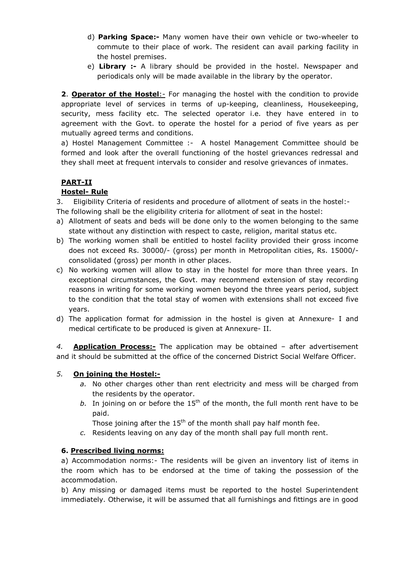- d) Parking Space:- Many women have their own vehicle or two-wheeler to commute to their place of work. The resident can avail parking facility in the hostel premises.
- e) Library :- A library should be provided in the hostel. Newspaper and periodicals only will be made available in the library by the operator.

2. Operator of the Hostel: - For managing the hostel with the condition to provide appropriate level of services in terms of up-keeping, cleanliness, Housekeeping, security, mess facility etc. The selected operator i.e. they have entered in to agreement with the Govt. to operate the hostel for a period of five years as per mutually agreed terms and conditions.

a) Hostel Management Committee :- A hostel Management Committee should be formed and look after the overall functioning of the hostel grievances redressal and they shall meet at frequent intervals to consider and resolve grievances of inmates.

# PART-II

# Hostel- Rule

3. Eligibility Criteria of residents and procedure of allotment of seats in the hostel:-

- The following shall be the eligibility criteria for allotment of seat in the hostel:
- a) Allotment of seats and beds will be done only to the women belonging to the same state without any distinction with respect to caste, religion, marital status etc.
- b) The working women shall be entitled to hostel facility provided their gross income does not exceed Rs. 30000/- (gross) per month in Metropolitan cities, Rs. 15000/ consolidated (gross) per month in other places.
- c) No working women will allow to stay in the hostel for more than three years. In exceptional circumstances, the Govt. may recommend extension of stay recording reasons in writing for some working women beyond the three years period, subject to the condition that the total stay of women with extensions shall not exceed five years.
- d) The application format for admission in the hostel is given at Annexure- I and medical certificate to be produced is given at Annexure- II.

4. **Application Process:-** The application may be obtained  $-$  after advertisement and it should be submitted at the office of the concerned District Social Welfare Officer.

## 5. On joining the Hostel:-

- a. No other charges other than rent electricity and mess will be charged from the residents by the operator.
- b. In joining on or before the  $15<sup>th</sup>$  of the month, the full month rent have to be paid.

Those joining after the  $15<sup>th</sup>$  of the month shall pay half month fee.

c. Residents leaving on any day of the month shall pay full month rent.

## 6. Prescribed living norms:

a) Accommodation norms:- The residents will be given an inventory list of items in the room which has to be endorsed at the time of taking the possession of the accommodation.

b) Any missing or damaged items must be reported to the hostel Superintendent immediately. Otherwise, it will be assumed that all furnishings and fittings are in good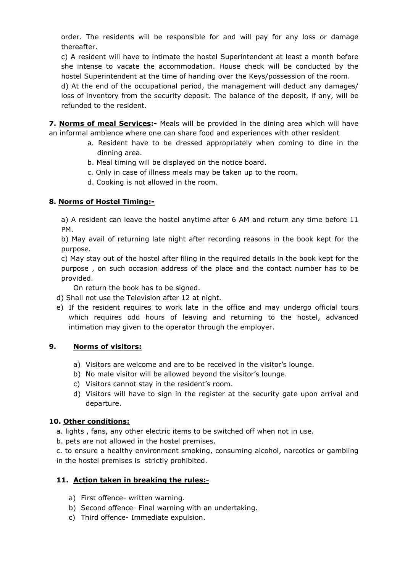order. The residents will be responsible for and will pay for any loss or damage thereafter.

c) A resident will have to intimate the hostel Superintendent at least a month before she intense to vacate the accommodation. House check will be conducted by the hostel Superintendent at the time of handing over the Keys/possession of the room.

d) At the end of the occupational period, the management will deduct any damages/ loss of inventory from the security deposit. The balance of the deposit, if any, will be refunded to the resident.

**7. Norms of meal Services:-** Meals will be provided in the dining area which will have an informal ambience where one can share food and experiences with other resident

- a. Resident have to be dressed appropriately when coming to dine in the dinning area.
- b. Meal timing will be displayed on the notice board.
- c. Only in case of illness meals may be taken up to the room.
- d. Cooking is not allowed in the room.

# 8. Norms of Hostel Timing:-

a) A resident can leave the hostel anytime after 6 AM and return any time before 11 PM.

b) May avail of returning late night after recording reasons in the book kept for the purpose.

c) May stay out of the hostel after filing in the required details in the book kept for the purpose , on such occasion address of the place and the contact number has to be provided.

On return the book has to be signed.

- d) Shall not use the Television after 12 at night.
- e) If the resident requires to work late in the office and may undergo official tours which requires odd hours of leaving and returning to the hostel, advanced intimation may given to the operator through the employer.

## 9. Norms of visitors:

- a) Visitors are welcome and are to be received in the visitor's lounge.
- b) No male visitor will be allowed beyond the visitor's lounge.
- c) Visitors cannot stay in the resident's room.
- d) Visitors will have to sign in the register at the security gate upon arrival and departure.

## 10. Other conditions:

- a. lights , fans, any other electric items to be switched off when not in use.
- b. pets are not allowed in the hostel premises.
- c. to ensure a healthy environment smoking, consuming alcohol, narcotics or gambling in the hostel premises is strictly prohibited.

## 11. Action taken in breaking the rules:-

- a) First offence- written warning.
- b) Second offence- Final warning with an undertaking.
- c) Third offence- Immediate expulsion.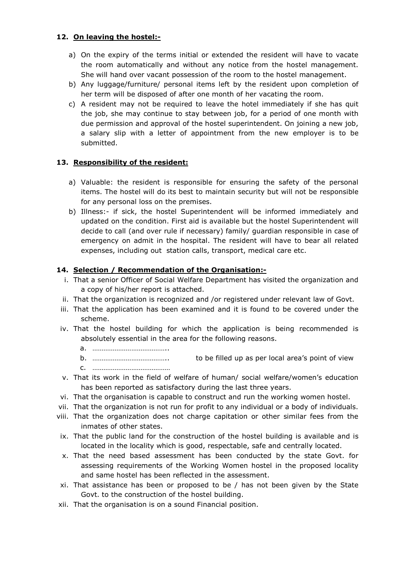## 12. On leaving the hostel:-

- a) On the expiry of the terms initial or extended the resident will have to vacate the room automatically and without any notice from the hostel management. She will hand over vacant possession of the room to the hostel management.
- b) Any luggage/furniture/ personal items left by the resident upon completion of her term will be disposed of after one month of her vacating the room.
- c) A resident may not be required to leave the hotel immediately if she has quit the job, she may continue to stay between job, for a period of one month with due permission and approval of the hostel superintendent. On joining a new job, a salary slip with a letter of appointment from the new employer is to be submitted.

# 13. Responsibility of the resident:

- a) Valuable: the resident is responsible for ensuring the safety of the personal items. The hostel will do its best to maintain security but will not be responsible for any personal loss on the premises.
- b) Illness:- if sick, the hostel Superintendent will be informed immediately and updated on the condition. First aid is available but the hostel Superintendent will decide to call (and over rule if necessary) family/ guardian responsible in case of emergency on admit in the hospital. The resident will have to bear all related expenses, including out station calls, transport, medical care etc.

## 14. Selection / Recommendation of the Organisation:-

- i. That a senior Officer of Social Welfare Department has visited the organization and a copy of his/her report is attached.
- ii. That the organization is recognized and /or registered under relevant law of Govt.
- iii. That the application has been examined and it is found to be covered under the scheme.
- iv. That the hostel building for which the application is being recommended is absolutely essential in the area for the following reasons.

a. …………………………………..

b. ………………………………….. to be filled up as per local area's point of view

c. ……………………………………

- v. That its work in the field of welfare of human/ social welfare/women's education has been reported as satisfactory during the last three years.
- vi. That the organisation is capable to construct and run the working women hostel.
- vii. That the organization is not run for profit to any individual or a body of individuals.
- viii. That the organization does not charge capitation or other similar fees from the inmates of other states.
- ix. That the public land for the construction of the hostel building is available and is located in the locality which is good, respectable, safe and centrally located.
- x. That the need based assessment has been conducted by the state Govt. for assessing requirements of the Working Women hostel in the proposed locality and same hostel has been reflected in the assessment.
- xi. That assistance has been or proposed to be / has not been given by the State Govt. to the construction of the hostel building.
- xii. That the organisation is on a sound Financial position.